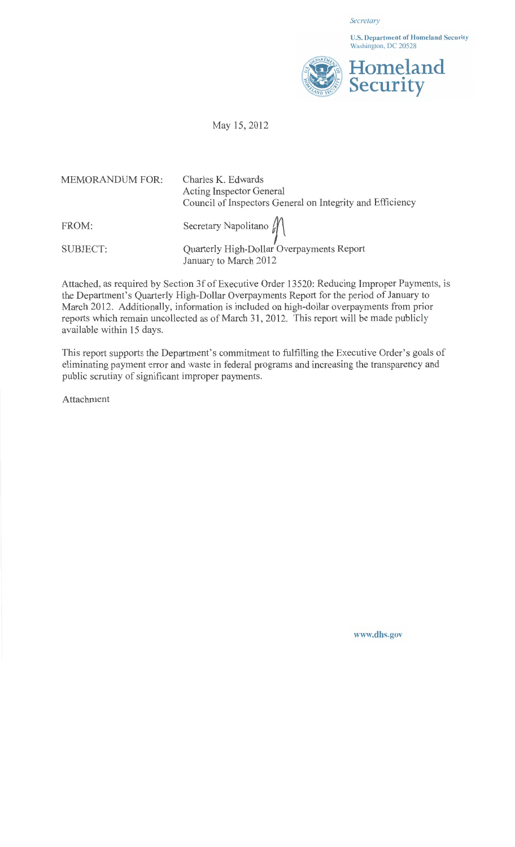*Secretary* 

U.S. Department of Homeland Security Washington, DC 20528



# May 15,2012

| <b>MEMORANDUM FOR:</b> | Charles K. Edwards<br><b>Acting Inspector General</b><br>Council of Inspectors General on Integrity and Efficiency |
|------------------------|--------------------------------------------------------------------------------------------------------------------|
| FROM:                  | Secretary Napolitano $\mathcal{W}$                                                                                 |
| <b>SUBJECT:</b>        | Quarterly High-Dollar Overpayments Report<br>January to March 2012                                                 |

Attached, as required by Section 3f of Executive Order 13520: Reducing Improper Payments, is the Department's Quarterly High-Dollar Overpayments Report for the period of January to March 2012. Additionally, information is included on high-dollar overpayments from prior reports which remain uncollected as of March 31, 2012. This report will be made publicly available within 15 days.

This report supports the Department's commitment to fulfilling the Executive Order's goals of eliminating payment error and waste in federal programs and increasing the transparency and public scrutiny of significant improper payments.

Attachment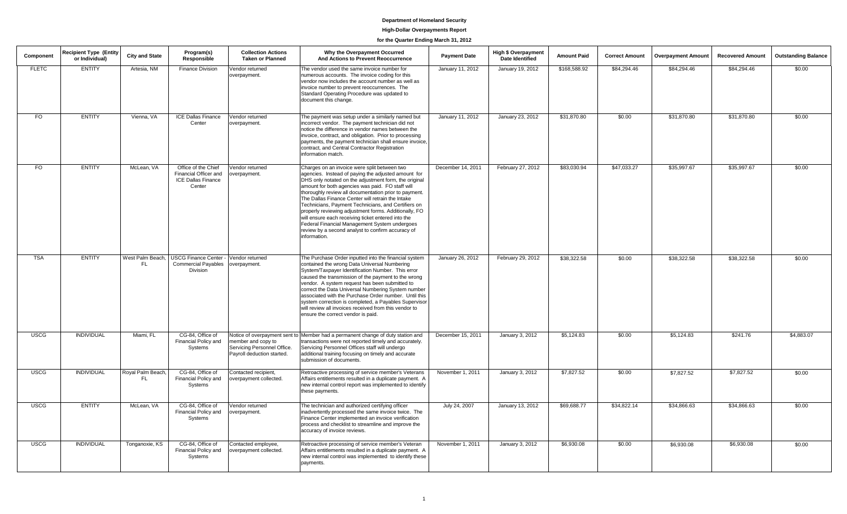# **High-Dollar Overpayments Report**

# **for the Quarter Ending March 31, 2012**

| Component    | <b>Recipient Type (Entity)</b><br>or Individual) | <b>City and State</b>    | Program(s)<br>Responsible                                                           | <b>Collection Actions</b><br><b>Taken or Planned</b>                            | Why the Overpayment Occurred<br>And Actions to Prevent Reoccurrence                                                                                                                                                                                                                                                                                                                                                                                                                                                                                                                                                        | <b>Payment Date</b> | <b>High \$ Overpayment</b><br><b>Date Identified</b> | <b>Amount Paid</b> | <b>Correct Amount</b> | <b>Overpayment Amount</b> | <b>Recovered Amount</b> | <b>Outstanding Balance</b> |
|--------------|--------------------------------------------------|--------------------------|-------------------------------------------------------------------------------------|---------------------------------------------------------------------------------|----------------------------------------------------------------------------------------------------------------------------------------------------------------------------------------------------------------------------------------------------------------------------------------------------------------------------------------------------------------------------------------------------------------------------------------------------------------------------------------------------------------------------------------------------------------------------------------------------------------------------|---------------------|------------------------------------------------------|--------------------|-----------------------|---------------------------|-------------------------|----------------------------|
| <b>FLETC</b> | <b>ENTITY</b>                                    | Artesia, NM              | <b>Finance Division</b>                                                             | Vendor returned<br>overpayment.                                                 | The vendor used the same invoice number for<br>numerous accounts. The invoice coding for this<br>vendor now includes the account number as well as<br>invoice number to prevent reoccurrences. The<br>Standard Operating Procedure was updated to<br>document this change.                                                                                                                                                                                                                                                                                                                                                 | January 11, 2012    | January 19, 2012                                     | \$168,588.92       | \$84,294.46           | \$84,294.46               | \$84,294.46             | \$0.00                     |
| <b>FO</b>    | <b>ENTITY</b>                                    | Vienna, VA               | ICE Dallas Finance<br>Center                                                        | Vendor returned<br>overpayment.                                                 | The payment was setup under a similarly named but<br>incorrect vendor. The payment technician did not<br>notice the difference in vendor names between the<br>invoice, contract, and obligation. Prior to processing<br>payments, the payment technician shall ensure invoice,<br>contract, and Central Contractor Registration<br>information match.                                                                                                                                                                                                                                                                      | January 11, 2012    | January 23, 2012                                     | \$31,870.80        | \$0.00                | \$31,870.80               | \$31,870.80             | \$0.00                     |
| FO.          | <b>ENTITY</b>                                    | McLean, VA               | Office of the Chief<br>Financial Officer and<br><b>ICE Dallas Finance</b><br>Center | Vendor returned<br>overpayment.                                                 | Charges on an invoice were split between two<br>agencies. Instead of paying the adjusted amount for<br>DHS only notated on the adjustment form, the original<br>amount for both agencies was paid. FO staff will<br>thoroughly review all documentation prior to payment.<br>The Dallas Finance Center will retrain the Intake<br>Technicians, Payment Technicians, and Certifiers on<br>properly reviewing adjustment forms. Additionally, FO<br>will ensure each receiving ticket entered into the<br>Federal Financial Management System undergoes<br>review by a second analyst to confirm accuracy of<br>information. | December 14, 2011   | February 27, 2012                                    | \$83,030.94        | \$47,033.27           | \$35,997.67               | \$35,997.67             | \$0.00                     |
| <b>TSA</b>   | <b>ENTITY</b>                                    | West Palm Beach,<br>FL.  | USCG Finance Center - Vendor returned<br><b>Commercial Payables</b><br>Division     | overpayment.                                                                    | The Purchase Order inputted into the financial system<br>contained the wrong Data Universal Numbering<br>System/Taxpayer Identification Number. This error<br>caused the transmission of the payment to the wrong<br>vendor. A system request has been submitted to<br>correct the Data Universal Numbering System number<br>associated with the Purchase Order number. Until this<br>system correction is completed, a Payables Supervisor<br>will review all invoices received from this vendor to<br>ensure the correct vendor is paid.                                                                                 | January 26, 2012    | February 29, 2012                                    | \$38,322.58        | \$0.00                | \$38,322.58               | \$38,322.58             | \$0.00                     |
| <b>USCG</b>  | <b>INDIVIDUAL</b>                                | Miami. FL                | CG-84. Office of<br>Financial Policy and<br>Systems                                 | member and copy to<br>Servicing Personnel Office.<br>Payroll deduction started. | Notice of overpayment sent to Member had a permanent change of duty station and<br>transactions were not reported timely and accurately.<br>Servicing Personnel Offices staff will undergo<br>additional training focusing on timely and accurate<br>submission of documents.                                                                                                                                                                                                                                                                                                                                              | December 15, 2011   | January 3, 2012                                      | \$5,124.83         | \$0.00                | \$5,124.83                | \$241.76                | \$4,883,07                 |
| <b>USCG</b>  | <b>INDIVIDUAL</b>                                | Royal Palm Beach,<br>FL. | CG-84, Office of<br>Financial Policy and<br>Systems                                 | Contacted recipient,<br>overpayment collected.                                  | Retroactive processing of service member's Veterans<br>Affairs entitlements resulted in a duplicate payment. A<br>new internal control report was implemented to identify<br>these payments.                                                                                                                                                                                                                                                                                                                                                                                                                               | November 1, 2011    | January 3, 2012                                      | \$7,827.52         | \$0.00                | \$7,827.52                | \$7,827.52              | \$0.00                     |
| <b>USCG</b>  | <b>ENTITY</b>                                    | McLean, VA               | CG-84, Office of<br>Financial Policy and<br>Systems                                 | Vendor returned<br>overpayment.                                                 | The technician and authorized certifying officer<br>inadvertently processed the same invoice twice. The<br>Finance Center implemented an invoice verification<br>process and checklist to streamline and improve the<br>accuracy of invoice reviews.                                                                                                                                                                                                                                                                                                                                                                       | July 24, 2007       | January 13, 2012                                     | \$69,688.77        | \$34,822.14           | \$34.866.63               | \$34,866.63             | \$0.00                     |
| <b>USCG</b>  | <b>INDIVIDUAL</b>                                | Tonganoxie, KS           | CG-84, Office of<br>Financial Policy and<br>Systems                                 | Contacted employee,<br>overpayment collected.                                   | Retroactive processing of service member's Veteran<br>Affairs entitlements resulted in a duplicate payment. A<br>new internal control was implemented to identify these<br>payments.                                                                                                                                                                                                                                                                                                                                                                                                                                       | November 1, 2011    | January 3, 2012                                      | \$6,930.08         | \$0.00                | \$6,930.08                | \$6,930.08              | \$0.00                     |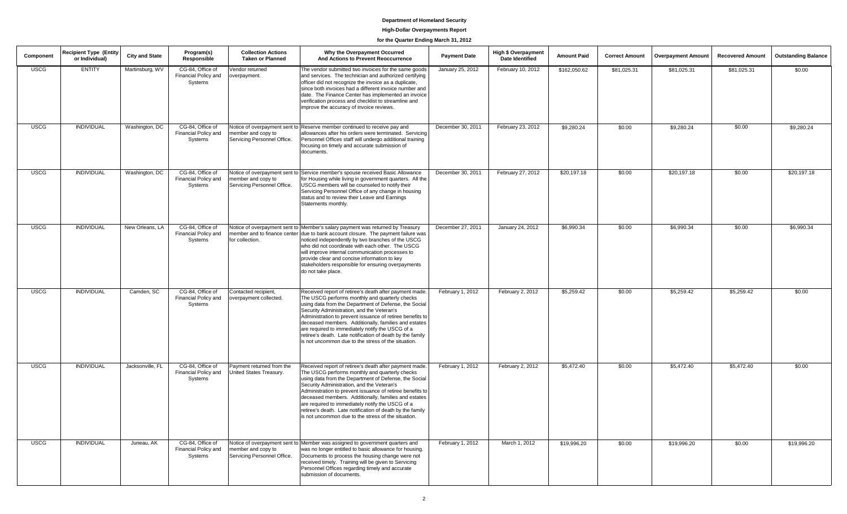# **High-Dollar Overpayments Report**

# **for the Quarter Ending March 31, 2012**

| Component   | <b>Recipient Type (Entity)</b><br>or Individual) | <b>City and State</b> | Program(s)<br>Responsible                           | <b>Collection Actions</b><br><b>Taken or Planned</b> | Why the Overpayment Occurred<br>And Actions to Prevent Reoccurrence                                                                                                                                                                                                                                                                                                                                                                                                                                          | <b>Payment Date</b> | <b>High \$ Overpayment</b><br>Date Identified | <b>Amount Paid</b> | <b>Correct Amount</b> | <b>Overpayment Amount</b> | <b>Recovered Amount</b> | <b>Outstanding Balance</b> |
|-------------|--------------------------------------------------|-----------------------|-----------------------------------------------------|------------------------------------------------------|--------------------------------------------------------------------------------------------------------------------------------------------------------------------------------------------------------------------------------------------------------------------------------------------------------------------------------------------------------------------------------------------------------------------------------------------------------------------------------------------------------------|---------------------|-----------------------------------------------|--------------------|-----------------------|---------------------------|-------------------------|----------------------------|
| <b>USCG</b> | <b>ENTITY</b>                                    | Martinsburg, WV       | CG-84, Office of<br>Financial Policy and<br>Systems | Vendor returned<br>overpayment.                      | The vendor submitted two invoices for the same goods<br>and services. The technician and authorized certifying<br>officer did not recognize the invoice as a duplicate,<br>since both invoices had a different invoice number and<br>date. The Finance Center has implemented an invoice<br>verification process and checklist to streamline and<br>improve the accuracy of invoice reviews.                                                                                                                 | January 25, 2012    | February 10, 2012                             | \$162,050.62       | \$81,025.31           | \$81,025.31               | \$81,025.31             | \$0.00                     |
| <b>USCG</b> | <b>INDIVIDUAL</b>                                | Washington, DC        | CG-84, Office of<br>Financial Policy and<br>Systems | member and copy to<br>Servicing Personnel Office.    | Notice of overpayment sent to Reserve member continued to receive pay and<br>allowances after his orders were terminated. Servicing<br>Personnel Offices staff will undergo additional training<br>focusing on timely and accurate submission of<br>documents.                                                                                                                                                                                                                                               | December 30, 2011   | February 23, 2012                             | \$9,280.24         | \$0.00                | \$9,280.24                | \$0.00                  | \$9,280.24                 |
| <b>USCG</b> | <b>INDIVIDUAL</b>                                | Washington, DC        | CG-84, Office of<br>Financial Policy and<br>Systems | member and copy to<br>Servicing Personnel Office.    | Notice of overpayment sent to Service member's spouse received Basic Allowance<br>for Housing while living in government quarters. All the<br>USCG members will be counseled to notify their<br>Servicing Personnel Office of any change in housing<br>status and to review their Leave and Earnings<br>Statements monthly.                                                                                                                                                                                  | December 30, 2011   | February 27, 2012                             | \$20,197.18        | \$0.00                | \$20,197.18               | \$0.00                  | \$20,197.18                |
| <b>USCG</b> | <b>INDIVIDUAL</b>                                | New Orleans, LA       | CG-84, Office of<br>Financial Policy and<br>Systems | for collection.                                      | Notice of overpayment sent to Member's salary payment was returned by Treasury<br>member and to finance center due to bank account closure. The payment failure was<br>noticed independently by two branches of the USCG<br>who did not coordinate with each other. The USCG<br>will improve internal communication processes to<br>provide clear and concise information to key<br>stakeholders responsible for ensuring overpayments<br>do not take place.                                                 | December 27, 2011   | January 24, 2012                              | \$6,990.34         | \$0.00                | \$6,990.34                | \$0.00                  | \$6,990.34                 |
| <b>USCG</b> | <b>INDIVIDUAL</b>                                | Camden, SC            | CG-84, Office of<br>Financial Policy and<br>Systems | Contacted recipient,<br>overpayment collected.       | Received report of retiree's death after payment made.<br>The USCG performs monthly and quarterly checks<br>using data from the Department of Defense, the Social<br>Security Administration, and the Veteran's<br>Administration to prevent issuance of retiree benefits to<br>deceased members. Additionally, families and estates<br>are required to immediately notify the USCG of a<br>retiree's death. Late notification of death by the family<br>is not uncommon due to the stress of the situation. | February 1, 2012    | February 2, 2012                              | \$5,259.42         | \$0.00                | \$5,259.42                | \$5,259.42              | \$0.00                     |
| <b>USCG</b> | <b>INDIVIDUAL</b>                                | Jacksonville, FL      | CG-84, Office of<br>Financial Policy and<br>Systems | Payment returned from the<br>United States Treasury. | Received report of retiree's death after payment made.<br>The USCG performs monthly and quarterly checks<br>using data from the Department of Defense, the Social<br>Security Administration, and the Veteran's<br>Administration to prevent issuance of retiree benefits to<br>deceased members. Additionally, families and estates<br>are required to immediately notify the USCG of a<br>retiree's death. Late notification of death by the family<br>is not uncommon due to the stress of the situation. | February 1, 2012    | February 2, 2012                              | \$5,472.40         | \$0.00                | \$5,472.40                | \$5,472.40              | \$0.00                     |
| <b>USCG</b> | <b>INDIVIDUAL</b>                                | Juneau, AK            | CG-84, Office of<br>Financial Policy and<br>Systems | member and copy to<br>Servicing Personnel Office.    | Notice of overpayment sent to Member was assigned to government quarters and<br>was no longer entitled to basic allowance for housing.<br>Documents to process the housing change were not<br>received timely. Training will be given to Servicing<br>Personnel Offices regarding timely and accurate<br>submission of documents.                                                                                                                                                                            | February 1, 2012    | March 1, 2012                                 | \$19,996.20        | \$0.00                | \$19,996.20               | \$0.00                  | \$19,996.20                |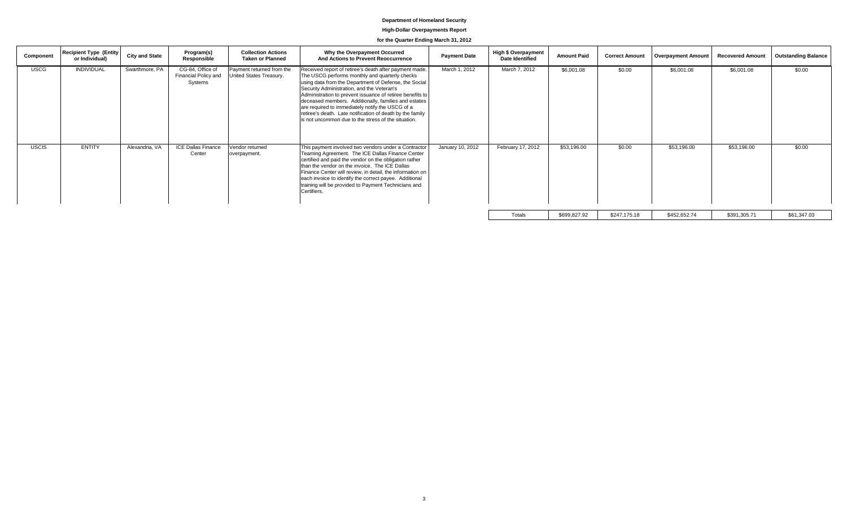# **High-Dollar Overpayments Report**

# **for the Quarter Ending March 31, 2012**

| Component    | <b>Recipient Type (Entity)</b><br>or Individual) | <b>City and State</b> | Program(s)<br>Responsible                           | <b>Collection Actions</b><br><b>Taken or Planned</b> | Why the Overpayment Occurred<br>And Actions to Prevent Reoccurrence                                                                                                                                                                                                                                                                                                                                                                                                                                          | <b>Payment Date</b> | <b>High \$ Overpayment</b><br>Date Identified | <b>Amount Paid</b> | <b>Correct Amount</b> | <b>Overpayment Amount</b> | <b>Recovered Amount</b> | <b>Outstanding Balance</b> |
|--------------|--------------------------------------------------|-----------------------|-----------------------------------------------------|------------------------------------------------------|--------------------------------------------------------------------------------------------------------------------------------------------------------------------------------------------------------------------------------------------------------------------------------------------------------------------------------------------------------------------------------------------------------------------------------------------------------------------------------------------------------------|---------------------|-----------------------------------------------|--------------------|-----------------------|---------------------------|-------------------------|----------------------------|
| <b>USCG</b>  | <b>INDIVIDUAL</b>                                | Swarthmore, PA        | CG-84, Office of<br>Financial Policy and<br>Systems | Payment returned from the<br>United States Treasury. | Received report of retiree's death after payment made.<br>The USCG performs monthly and quarterly checks<br>using data from the Department of Defense, the Social<br>Security Administration, and the Veteran's<br>Administration to prevent issuance of retiree benefits to<br>deceased members. Additionally, families and estates<br>are required to immediately notify the USCG of a<br>retiree's death. Late notification of death by the family<br>is not uncommon due to the stress of the situation. | March 1, 2012       | March 7, 2012                                 | \$6,001.08         | \$0.00                | \$6,001.08                | \$6,001.08              | \$0.00                     |
| <b>USCIS</b> | <b>ENTITY</b>                                    | Alexandria, VA        | <b>ICE Dallas Finance</b><br>Center                 | Vendor returned<br>overpayment.                      | This payment involved two vendors under a Contractor<br>Teaming Agreement. The ICE Dallas Finance Center<br>certified and paid the vendor on the obligation rather<br>than the vendor on the invoice. The ICE Dallas<br>Finance Center will review, in detail, the information on<br>each invoice to identify the correct payee. Additional<br>training will be provided to Payment Technicians and<br>Certifiers.                                                                                           | January 10, 2012    | February 17, 2012                             | \$53,196.00        | \$0.00                | \$53,196.00               | \$53,196.00             | \$0.00                     |
|              |                                                  |                       |                                                     |                                                      |                                                                                                                                                                                                                                                                                                                                                                                                                                                                                                              |                     | Totals                                        | \$699,827.92       | \$247,175.18          | \$452,652.74              | \$391,305.71            | \$61,347.03                |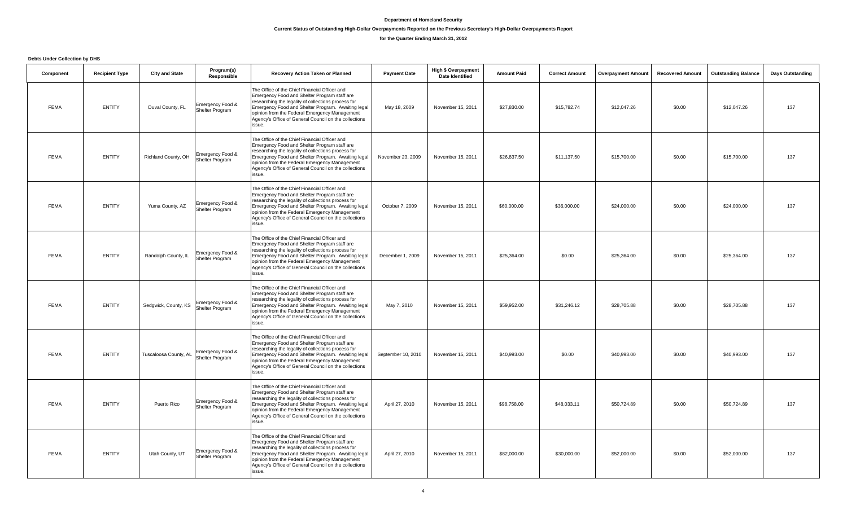# **Current Status of Outstanding High-Dollar Overpayments Reported on the Previous Secretary's High-Dollar Overpayments Report**

# **for the Quarter Ending March 31, 2012**

**Debts Under Collection by DHS**

| Component   | <b>Recipient Type</b> | <b>City and State</b> | Program(s)<br>Responsible           | Recovery Action Taken or Planned                                                                                                                                                                                                                                                                                               | <b>Payment Date</b> | <b>High \$ Overpayment</b><br><b>Date Identified</b> | <b>Amount Paid</b> | <b>Correct Amount</b> | <b>Overpayment Amount</b> | <b>Recovered Amount</b> | <b>Outstanding Balance</b> | <b>Days Outstanding</b> |
|-------------|-----------------------|-----------------------|-------------------------------------|--------------------------------------------------------------------------------------------------------------------------------------------------------------------------------------------------------------------------------------------------------------------------------------------------------------------------------|---------------------|------------------------------------------------------|--------------------|-----------------------|---------------------------|-------------------------|----------------------------|-------------------------|
| <b>FEMA</b> | <b>ENTITY</b>         | Duval County, FL      | Emergency Food &<br>Shelter Program | The Office of the Chief Financial Officer and<br>Emergency Food and Shelter Program staff are<br>researching the legality of collections process for<br>Emergency Food and Shelter Program. Awaiting legal<br>opinion from the Federal Emergency Management<br>Agency's Office of General Council on the collections<br>issue. | May 18, 2009        | November 15, 2011                                    | \$27,830.00        | \$15,782.74           | \$12,047.26               | \$0.00                  | \$12,047.26                | 137                     |
| <b>FEMA</b> | <b>ENTITY</b>         | Richland County, OH   | Emergency Food &<br>Shelter Program | The Office of the Chief Financial Officer and<br>Emergency Food and Shelter Program staff are<br>researching the legality of collections process for<br>Emergency Food and Shelter Program. Awaiting legal<br>opinion from the Federal Emergency Management<br>Agency's Office of General Council on the collections<br>issue. | November 23, 2009   | November 15, 2011                                    | \$26,837.50        | \$11,137.50           | \$15,700.00               | \$0.00                  | \$15,700.00                | 137                     |
| <b>FEMA</b> | <b>ENTITY</b>         | Yuma County, AZ       | Emergency Food &<br>Shelter Program | The Office of the Chief Financial Officer and<br>Emergency Food and Shelter Program staff are<br>researching the legality of collections process for<br>Emergency Food and Shelter Program. Awaiting legal<br>opinion from the Federal Emergency Management<br>Agency's Office of General Council on the collections<br>issue. | October 7, 2009     | November 15, 2011                                    | \$60,000.00        | \$36,000.00           | \$24,000.00               | \$0.00                  | \$24,000.00                | 137                     |
| <b>FEMA</b> | <b>ENTITY</b>         | Randolph County, IL   | Emergency Food &<br>Shelter Program | The Office of the Chief Financial Officer and<br>Emergency Food and Shelter Program staff are<br>researching the legality of collections process for<br>Emergency Food and Shelter Program. Awaiting legal<br>opinion from the Federal Emergency Management<br>Agency's Office of General Council on the collections<br>issue. | December 1, 2009    | November 15, 2011                                    | \$25,364.00        | \$0.00                | \$25,364.00               | \$0.00                  | \$25,364.00                | 137                     |
| <b>FEMA</b> | <b>ENTITY</b>         | Sedgwick, County, KS  | Emergency Food &<br>Shelter Program | The Office of the Chief Financial Officer and<br>Emergency Food and Shelter Program staff are<br>researching the legality of collections process for<br>Emergency Food and Shelter Program. Awaiting legal<br>opinion from the Federal Emergency Management<br>Agency's Office of General Council on the collections<br>issue. | May 7, 2010         | November 15, 2011                                    | \$59,952.00        | \$31,246.12           | \$28,705.88               | \$0.00                  | \$28,705.88                | 137                     |
| <b>FEMA</b> | <b>ENTITY</b>         | Tuscaloosa County, AL | Emergency Food &<br>Shelter Program | The Office of the Chief Financial Officer and<br>Emergency Food and Shelter Program staff are<br>researching the legality of collections process for<br>Emergency Food and Shelter Program. Awaiting legal<br>opinion from the Federal Emergency Management<br>Agency's Office of General Council on the collections<br>issue. | September 10, 2010  | November 15, 2011                                    | \$40,993.00        | \$0.00                | \$40,993.00               | \$0.00                  | \$40,993.00                | 137                     |
| <b>FEMA</b> | <b>ENTITY</b>         | Puerto Rico           | Emergency Food &<br>Shelter Program | The Office of the Chief Financial Officer and<br>Emergency Food and Shelter Program staff are<br>researching the legality of collections process for<br>Emergency Food and Shelter Program. Awaiting legal<br>opinion from the Federal Emergency Management<br>Agency's Office of General Council on the collections<br>issue. | April 27, 2010      | November 15, 2011                                    | \$98,758.00        | \$48,033.11           | \$50,724.89               | \$0.00                  | \$50,724.89                | 137                     |
| <b>FEMA</b> | <b>ENTITY</b>         | Utah County, UT       | Emergency Food &<br>Shelter Program | The Office of the Chief Financial Officer and<br>Emergency Food and Shelter Program staff are<br>researching the legality of collections process for<br>Emergency Food and Shelter Program. Awaiting legal<br>opinion from the Federal Emergency Management<br>Agency's Office of General Council on the collections<br>issue. | April 27, 2010      | November 15, 2011                                    | \$82,000.00        | \$30,000.00           | \$52,000.00               | \$0.00                  | \$52,000.00                | 137                     |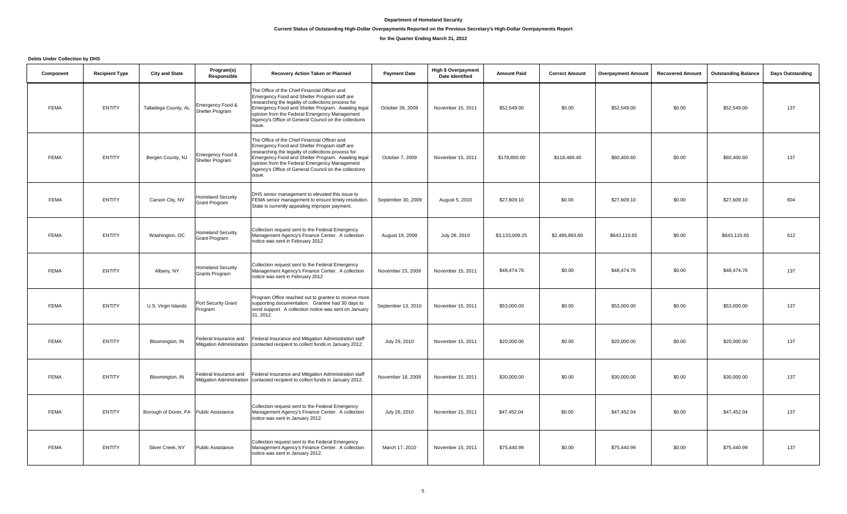#### **Current Status of Outstanding High-Dollar Overpayments Reported on the Previous Secretary's High-Dollar Overpayments Report**

# **for the Quarter Ending March 31, 2012**

**Debts Under Collection by DHS**

| Component   | <b>Recipient Type</b> | <b>City and State</b>                  | Program(s)<br>Responsible                          | Recovery Action Taken or Planned                                                                                                                                                                                                                                                                                               | <b>Payment Date</b> | <b>High \$ Overpayment</b><br><b>Date Identified</b> | <b>Amount Paid</b> | <b>Correct Amount</b> | <b>Overpayment Amount</b> | <b>Recovered Amount</b> | <b>Outstanding Balance</b> | <b>Days Outstanding</b> |
|-------------|-----------------------|----------------------------------------|----------------------------------------------------|--------------------------------------------------------------------------------------------------------------------------------------------------------------------------------------------------------------------------------------------------------------------------------------------------------------------------------|---------------------|------------------------------------------------------|--------------------|-----------------------|---------------------------|-------------------------|----------------------------|-------------------------|
| <b>FEMA</b> | <b>ENTITY</b>         | Talladega County, AL                   | Emergency Food &<br>Shelter Program                | The Office of the Chief Financial Officer and<br>Emergency Food and Shelter Program staff are<br>researching the legality of collections process for<br>Emergency Food and Shelter Program. Awaiting legal<br>opinion from the Federal Emergency Management<br>Agency's Office of General Council on the collections<br>issue. | October 28, 2009    | November 15, 2011                                    | \$52,549.00        | \$0.00                | \$52,549.00               | \$0.00                  | \$52,549.00                | 137                     |
| <b>FEMA</b> | <b>ENTITY</b>         | Bergen County, NJ                      | Emergency Food &<br>Shelter Program                | The Office of the Chief Financial Officer and<br>Emergency Food and Shelter Program staff are<br>researching the legality of collections process for<br>Emergency Food and Shelter Program. Awaiting legal<br>opinion from the Federal Emergency Management<br>Agency's Office of General Council on the collections<br>issue. | October 7, 2009     | November 15, 2011                                    | \$178,890.00       | \$118,489.40          | \$60,400.60               | \$0.00                  | \$60,400.60                | 137                     |
| <b>FEMA</b> | <b>ENTITY</b>         | Carson City, NV                        | <b>Homeland Security</b><br>Grant Program          | DHS senior management to elevated this issue to<br>FEMA senior management to ensure timely resolution.<br>State is currently appealing improper payment.                                                                                                                                                                       | September 30, 2009  | August 5, 2010                                       | \$27,609.10        | \$0.00                | \$27,609.10               | \$0.00                  | \$27,609.10                | 604                     |
| <b>FEMA</b> | <b>ENTITY</b>         | Washington, DC                         | <b>Homeland Security</b><br>Grant Program          | Collection request sent to the Federal Emergency<br>Management Agency's Finance Center. A collection<br>notice was sent in February 2012.                                                                                                                                                                                      | August 19, 2009     | July 28, 2010                                        | \$3,133,009.25     | \$2,489,893.60        | \$643,115.65              | \$0.00                  | \$643,115.65               | 612                     |
| <b>FEMA</b> | <b>ENTITY</b>         | Albany, NY                             | <b>Homeland Security</b><br>Grants Program         | Collection request sent to the Federal Emergency<br>Management Agency's Finance Center. A collection<br>notice was sent in February 2012.                                                                                                                                                                                      | November 23, 2009   | November 15, 2011                                    | \$48,474.76        | \$0.00                | \$48,474.76               | \$0.00                  | \$48,474.76                | 137                     |
| <b>FEMA</b> | <b>ENTITY</b>         | U.S. Virgin Islands                    | Port Security Grant<br>Program                     | Program Office reached out to grantee to receive more<br>supporting documentation. Grantee had 30 days to<br>send support. A collection notice was sent on January<br>31, 2012.                                                                                                                                                | September 13, 2010  | November 15, 2011                                    | \$53,000.00        | \$0.00                | \$53,000.00               | \$0.00                  | \$53,000.00                | 137                     |
| <b>FEMA</b> | <b>ENTITY</b>         | Bloomington, IN                        | Federal Insurance and<br>Mitigation Administration | Federal Insurance and Mitigation Administration staff<br>contacted recipient to collect funds in January 2012.                                                                                                                                                                                                                 | July 29, 2010       | November 15, 2011                                    | \$20,000.00        | \$0.00                | \$20,000.00               | \$0.00                  | \$20,000.00                | 137                     |
| <b>FEMA</b> | <b>ENTITY</b>         | Bloomington, IN                        | Federal Insurance and<br>Mitigation Administration | Federal Insurance and Mitigation Administration staff<br>contacted recipient to collect funds in January 2012.                                                                                                                                                                                                                 | November 18, 2009   | November 15, 2011                                    | \$30,000.00        | \$0.00                | \$30,000.00               | \$0.00                  | \$30,000.00                | 137                     |
| <b>FEMA</b> | <b>ENTITY</b>         | Borough of Dover, PA Public Assistance |                                                    | Collection request sent to the Federal Emergency<br>Management Agency's Finance Center. A collection<br>notice was sent in January 2012.                                                                                                                                                                                       | July 26, 2010       | November 15, 2011                                    | \$47,452.04        | \$0.00                | \$47,452.04               | \$0.00                  | \$47,452.04                | 137                     |
| <b>FEMA</b> | <b>ENTITY</b>         | Silver Creek, NY                       | <b>Public Assistance</b>                           | Collection request sent to the Federal Emergency<br>Management Agency's Finance Center. A collection<br>notice was sent in January 2012.                                                                                                                                                                                       | March 17, 2010      | November 15, 2011                                    | \$75,440.99        | \$0.00                | \$75,440.99               | \$0.00                  | \$75,440.99                | 137                     |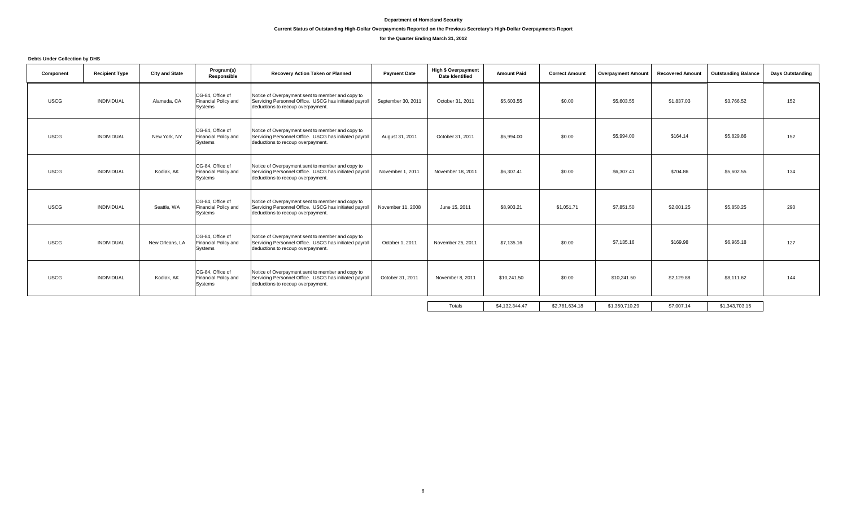#### **Current Status of Outstanding High-Dollar Overpayments Reported on the Previous Secretary's High-Dollar Overpayments Report**

# **for the Quarter Ending March 31, 2012**

**Debts Under Collection by DHS**

| Component   | <b>Recipient Type</b> | <b>City and State</b> | Program(s)<br>Responsible                           | Recovery Action Taken or Planned                                                                                                                | <b>Payment Date</b> | <b>High \$ Overpayment</b><br><b>Date Identified</b> | <b>Amount Paid</b> | <b>Correct Amount</b> | <b>Overpayment Amount</b> | <b>Recovered Amount</b> | <b>Outstanding Balance</b> | Days Outstanding |
|-------------|-----------------------|-----------------------|-----------------------------------------------------|-------------------------------------------------------------------------------------------------------------------------------------------------|---------------------|------------------------------------------------------|--------------------|-----------------------|---------------------------|-------------------------|----------------------------|------------------|
| <b>USCG</b> | <b>INDIVIDUAL</b>     | Alameda, CA           | CG-84, Office of<br>Financial Policy and<br>Systems | Notice of Overpayment sent to member and copy to<br>Servicing Personnel Office. USCG has initiated payroll<br>deductions to recoup overpayment. | September 30, 2011  | October 31, 2011                                     | \$5,603.55         | \$0.00                | \$5,603.55                | \$1,837.03              | \$3,766.52                 | 152              |
| <b>USCG</b> | <b>INDIVIDUAL</b>     | New York, NY          | CG-84, Office of<br>Financial Policy and<br>Systems | Notice of Overpayment sent to member and copy to<br>Servicing Personnel Office. USCG has initiated payroll<br>deductions to recoup overpayment. | August 31, 2011     | October 31, 2011                                     | \$5,994.00         | \$0.00                | \$5,994.00                | \$164.14                | \$5,829.86                 | 152              |
| <b>USCG</b> | <b>INDIVIDUAL</b>     | Kodiak, AK            | CG-84. Office of<br>Financial Policy and<br>Systems | Notice of Overpayment sent to member and copy to<br>Servicing Personnel Office. USCG has initiated payroll<br>deductions to recoup overpayment. | November 1, 2011    | November 18, 2011                                    | \$6,307.41         | \$0.00                | \$6,307.41                | \$704.86                | \$5,602.55                 | 134              |
| <b>USCG</b> | <b>INDIVIDUAL</b>     | Seattle, WA           | CG-84, Office of<br>Financial Policy and<br>Systems | Notice of Overpayment sent to member and copy to<br>Servicing Personnel Office. USCG has initiated payroll<br>deductions to recoup overpayment. | November 11, 2008   | June 15, 2011                                        | \$8,903.21         | \$1.051.71            | \$7,851.50                | \$2,001.25              | \$5,850.25                 | 290              |
| <b>USCG</b> | <b>INDIVIDUAL</b>     | New Orleans, LA       | CG-84, Office of<br>Financial Policy and<br>Systems | Notice of Overpayment sent to member and copy to<br>Servicing Personnel Office. USCG has initiated payroll<br>deductions to recoup overpayment. | October 1, 2011     | November 25, 2011                                    | \$7,135.16         | \$0.00                | \$7,135.16                | \$169.98                | \$6,965.18                 | 127              |
| <b>USCG</b> | <b>INDIVIDUAL</b>     | Kodiak, AK            | CG-84. Office of<br>Financial Policy and<br>Systems | Notice of Overpayment sent to member and copy to<br>Servicing Personnel Office. USCG has initiated payroll<br>deductions to recoup overpayment. | October 31, 2011    | November 8, 2011                                     | \$10,241.50        | \$0.00                | \$10,241.50               | \$2,129.88              | \$8,111.62                 | 144              |
|             |                       |                       |                                                     |                                                                                                                                                 |                     | Totals                                               | \$4,132,344.47     | \$2,781,634.18        | \$1,350,710.29            | \$7,007.14              | \$1,343,703.15             |                  |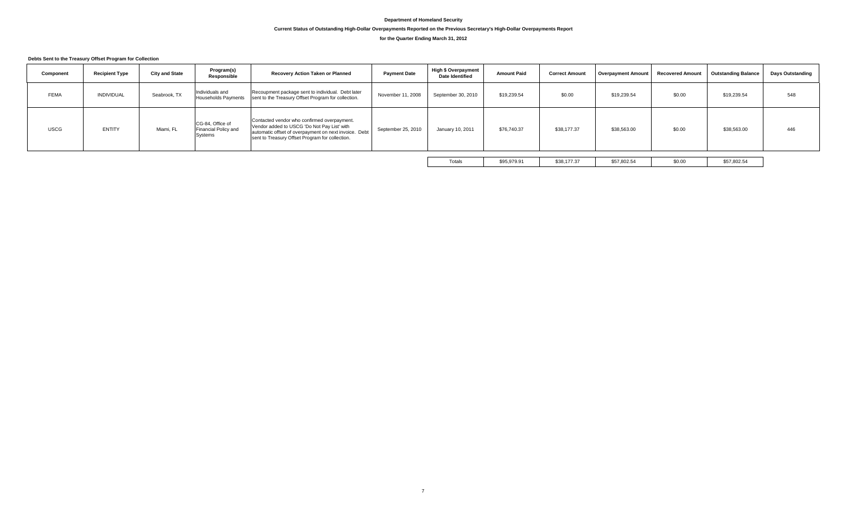# **Current Status of Outstanding High-Dollar Overpayments Reported on the Previous Secretary's High-Dollar Overpayments Report**

# **for the Quarter Ending March 31, 2012**

#### **Debts Sent to the Treasury Offset Program for Collection**

| Component   | <b>Recipient Type</b> | <b>City and State</b> | Program(s)<br>Responsible                           | Recovery Action Taken or Planned                                                                                                                                                                       | <b>Payment Date</b> | <b>High \$ Overpayment</b><br><b>Date Identified</b> | <b>Amount Paid</b> | <b>Correct Amount</b> | <b>Overpayment Amount</b> | <b>Recovered Amount</b> | <b>Outstanding Balance</b> | <b>Days Outstanding</b> |
|-------------|-----------------------|-----------------------|-----------------------------------------------------|--------------------------------------------------------------------------------------------------------------------------------------------------------------------------------------------------------|---------------------|------------------------------------------------------|--------------------|-----------------------|---------------------------|-------------------------|----------------------------|-------------------------|
| <b>FEMA</b> | <b>INDIVIDUAL</b>     | Seabrook, TX          | Individuals and<br><b>Households Payments</b>       | Recoupment package sent to individual. Debt later<br>sent to the Treasury Offset Program for collection.                                                                                               | November 11, 2008   | September 30, 2010                                   | \$19,239.54        | \$0.00                | \$19,239.54               | \$0.00                  | \$19,239.54                | 548                     |
| <b>USCG</b> | ENTITY                | Miami, FL             | CG-84, Office of<br>Financial Policy and<br>Systems | Contacted vendor who confirmed overpayment.<br>Vendor added to USCG 'Do Not Pay List' with<br>automatic offset of overpayment on next invoice. Debt<br>sent to Treasury Offset Program for collection. | September 25, 2010  | January 10, 2011                                     | \$76,740.37        | \$38,177.37           | \$38,563.00               | \$0.00                  | \$38,563.00                | 446                     |
|             |                       |                       |                                                     |                                                                                                                                                                                                        |                     | Totals                                               | \$95,979.91        | \$38,177.37           | \$57,802.54               | \$0.00                  | \$57,802.54                |                         |